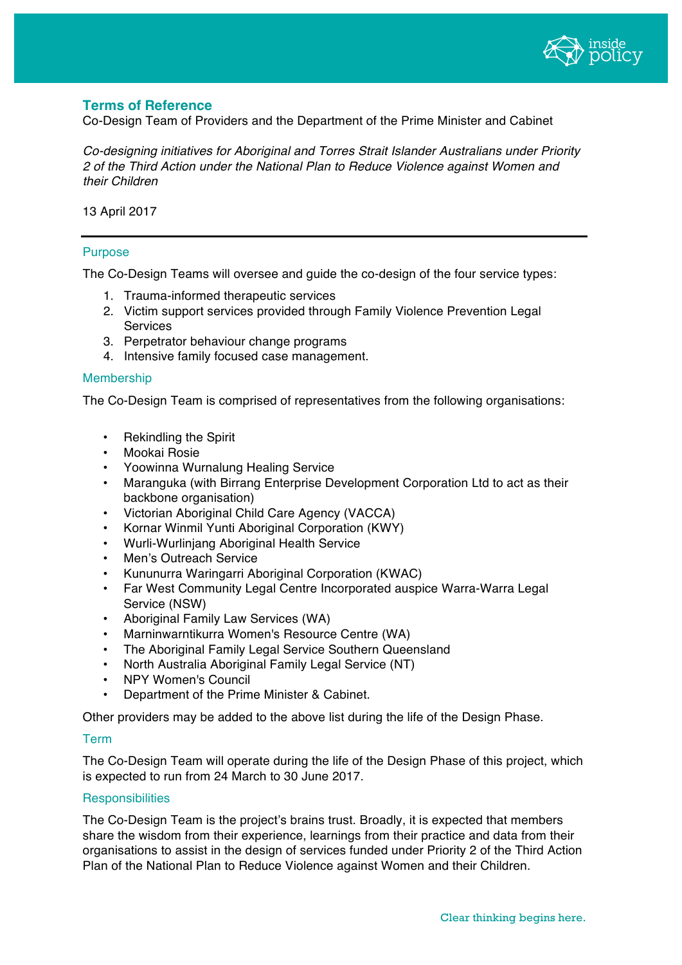

# **Terms of Reference**

Co-Design Team of Providers and the Department of the Prime Minister and Cabinet

*Co-designing initiatives for Aboriginal and Torres Strait Islander Australians under Priority 2 of the Third Action under the National Plan to Reduce Violence against Women and their Children*

13 April 2017

## Purpose

The Co-Design Teams will oversee and guide the co-design of the four service types:

- 1. Trauma-informed therapeutic services
- 2. Victim support services provided through Family Violence Prevention Legal Services
- 3. Perpetrator behaviour change programs
- 4. Intensive family focused case management.

### Membership

The Co-Design Team is comprised of representatives from the following organisations:

- Rekindling the Spirit
- Mookai Rosie
- Yoowinna Wurnalung Healing Service
- Maranguka (with Birrang Enterprise Development Corporation Ltd to act as their backbone organisation)
- Victorian Aboriginal Child Care Agency (VACCA)
- Kornar Winmil Yunti Aboriginal Corporation (KWY)
- Wurli-Wurlinjang Aboriginal Health Service
- Men's Outreach Service
- Kununurra Waringarri Aboriginal Corporation (KWAC)
- Far West Community Legal Centre Incorporated auspice Warra-Warra Legal Service (NSW)
- Aboriginal Family Law Services (WA)
- Marninwarntikurra Women's Resource Centre (WA)
- The Aboriginal Family Legal Service Southern Queensland
- North Australia Aboriginal Family Legal Service (NT)
- NPY Women's Council
- Department of the Prime Minister & Cabinet.

Other providers may be added to the above list during the life of the Design Phase.

#### Term

The Co-Design Team will operate during the life of the Design Phase of this project, which is expected to run from 24 March to 30 June 2017.

#### **Responsibilities**

The Co-Design Team is the project's brains trust. Broadly, it is expected that members share the wisdom from their experience, learnings from their practice and data from their organisations to assist in the design of services funded under Priority 2 of the Third Action Plan of the National Plan to Reduce Violence against Women and their Children.